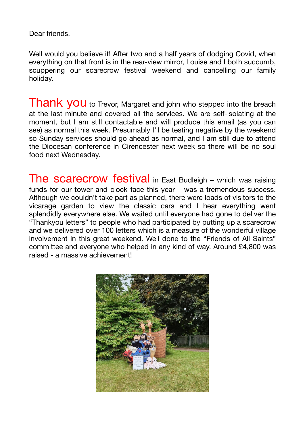Dear friends,

Well would you believe it! After two and a half years of dodging Covid, when everything on that front is in the rear-view mirror, Louise and I both succumb, scuppering our scarecrow festival weekend and cancelling our family holiday.

Thank you to Trevor, Margaret and john who stepped into the breach at the last minute and covered all the services. We are self-isolating at the moment, but I am still contactable and will produce this email (as you can see) as normal this week. Presumably I'll be testing negative by the weekend so Sunday services should go ahead as normal, and I am still due to attend the Diocesan conference in Cirencester next week so there will be no soul food next Wednesday.

The scarecrow festival in East Budleigh – which was raising funds for our tower and clock face this year – was a tremendous success. Although we couldn't take part as planned, there were loads of visitors to the vicarage garden to view the classic cars and I hear everything went splendidly everywhere else. We waited until everyone had gone to deliver the "Thankyou letters" to people who had participated by putting up a scarecrow and we delivered over 100 letters which is a measure of the wonderful village involvement in this great weekend. Well done to the "Friends of All Saints" committee and everyone who helped in any kind of way. Around £4,800 was raised - a massive achievement!

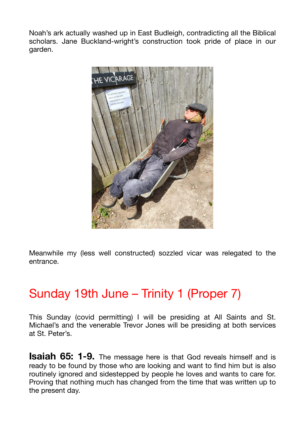Noah's ark actually washed up in East Budleigh, contradicting all the Biblical scholars. Jane Buckland-wright's construction took pride of place in our garden.



Meanwhile my (less well constructed) sozzled vicar was relegated to the entrance.

## Sunday 19th June – Trinity 1 (Proper 7)

This Sunday (covid permitting) I will be presiding at All Saints and St. Michael's and the venerable Trevor Jones will be presiding at both services at St. Peter's.

**Isaiah 65: 1-9.** The message here is that God reveals himself and is ready to be found by those who are looking and want to find him but is also routinely ignored and sidestepped by people he loves and wants to care for. Proving that nothing much has changed from the time that was written up to the present day.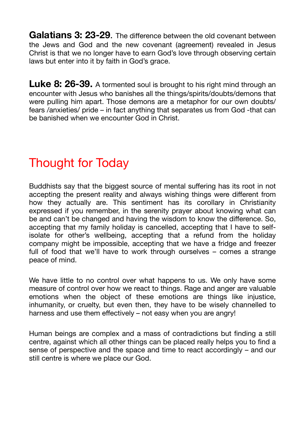**Galatians 3: 23-29**. The difference between the old covenant between the Jews and God and the new covenant (agreement) revealed in Jesus Christ is that we no longer have to earn God's love through observing certain laws but enter into it by faith in God's grace.

Luke 8: 26-39. A tormented soul is brought to his right mind through an encounter with Jesus who banishes all the things/spirits/doubts/demons that were pulling him apart. Those demons are a metaphor for our own doubts/ fears /anxieties/ pride – in fact anything that separates us from God -that can be banished when we encounter God in Christ.

## Thought for Today

Buddhists say that the biggest source of mental suffering has its root in not accepting the present reality and always wishing things were different from how they actually are. This sentiment has its corollary in Christianity expressed if you remember, in the serenity prayer about knowing what can be and can't be changed and having the wisdom to know the difference. So, accepting that my family holiday is cancelled, accepting that I have to selfisolate for other's wellbeing, accepting that a refund from the holiday company might be impossible, accepting that we have a fridge and freezer full of food that we'll have to work through ourselves – comes a strange peace of mind.

We have little to no control over what happens to us. We only have some measure of control over how we react to things. Rage and anger are valuable emotions when the object of these emotions are things like injustice, inhumanity, or cruelty, but even then, they have to be wisely channelled to harness and use them effectively – not easy when you are angry!

Human beings are complex and a mass of contradictions but finding a still centre, against which all other things can be placed really helps you to find a sense of perspective and the space and time to react accordingly – and our still centre is where we place our God.